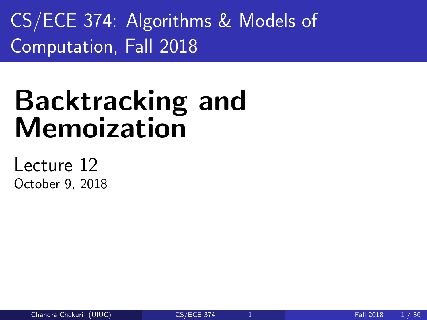<span id="page-0-0"></span>CS/ECE 374: Algorithms & Models of Computation, Fall 2018

# Backtracking and Memoization

Lecture 12 October 9, 2018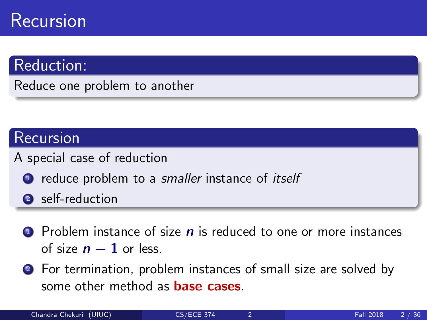# Recursion

## Reduction:

Reduce one problem to another

## Recursion

- A special case of reduction
	- **1** reduce problem to a *smaller* instance of *itself*
	- 2 self-reduction
	- $\bullet$  Problem instance of size  $n$  is reduced to one or more instances of size  $n - 1$  or less.
	- <sup>2</sup> For termination, problem instances of small size are solved by some other method as **base cases**.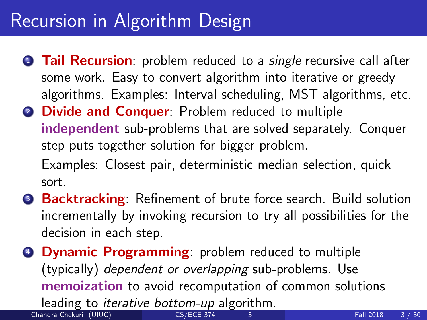# Recursion in Algorithm Design

- **1 Tail Recursion**: problem reduced to a *single* recursive call after some work. Easy to convert algorithm into iterative or greedy algorithms. Examples: Interval scheduling, MST algorithms, etc.
- **2 Divide and Conquer:** Problem reduced to multiple independent sub-problems that are solved separately. Conquer step puts together solution for bigger problem. Examples: Closest pair, deterministic median selection, quick

sort.

- <sup>3</sup> Backtracking: Refinement of brute force search. Build solution incrementally by invoking recursion to try all possibilities for the decision in each step.
- **4 Dynamic Programming:** problem reduced to multiple (typically) dependent or overlapping sub-problems. Use memoization to avoid recomputation of common solutions

leading to *iterative bottom-up* algorithm.<br>andra Chekuri (UIUC)

Chandra Chekuri (UIUC) [CS/ECE 374](#page-0-0) 3 Fall 2018 3 / 36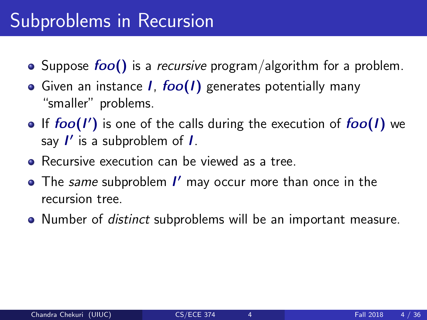# Subproblems in Recursion

- Suppose  $foo()$  is a *recursive* program/algorithm for a problem.
- Given an instance  $I$ ,  $foo(I)$  generates potentially many "smaller" problems.
- If  $foo(1')$  is one of the calls during the execution of  $foo(1)$  we say  $I'$  is a subproblem of  $I$ .
- Recursive execution can be viewed as a tree.
- The same subproblem I' may occur more than once in the recursion tree.
- Number of *distinct* subproblems will be an important measure.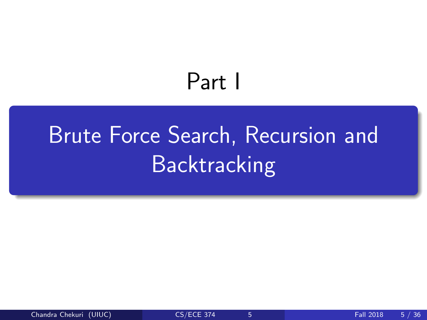# Part I

# <span id="page-4-0"></span>[Brute Force Search, Recursion and](#page-4-0) **[Backtracking](#page-4-0)**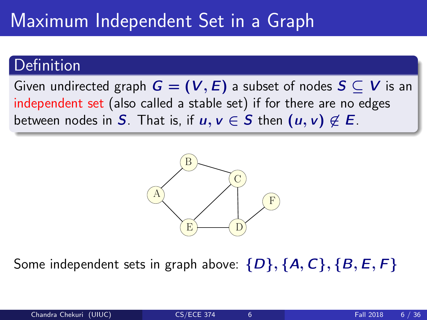# Maximum Independent Set in a Graph

### Definition

Given undirected graph  $G = (V, E)$  a subset of nodes  $S \subseteq V$  is an independent set (also called a stable set) if for there are no edges between nodes in S. That is, if  $u, v \in S$  then  $(u, v) \notin E$ .



Some independent sets in graph above:  $\{D\}, \{A, C\}, \{B, E, F\}$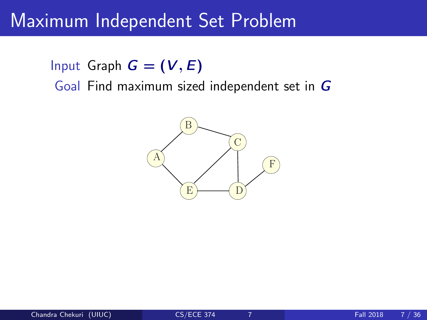## Maximum Independent Set Problem

Input Graph  $G = (V, E)$ Goal Find maximum sized independent set in G

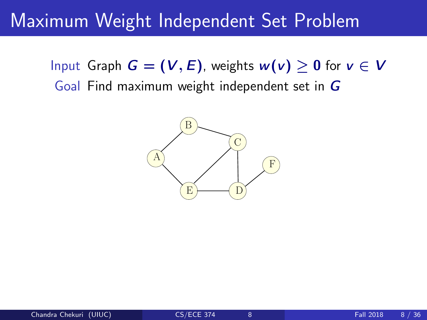# Maximum Weight Independent Set Problem

Input Graph  $G = (V, E)$ , weights  $w(v) \geq 0$  for  $v \in V$ Goal Find maximum weight independent set in G

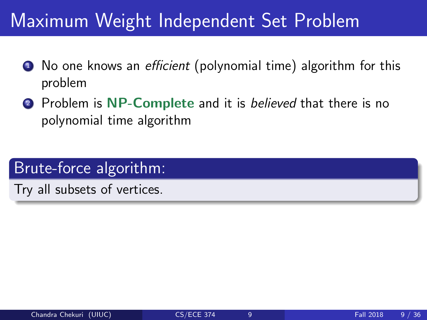# Maximum Weight Independent Set Problem

- **1** No one knows an *efficient* (polynomial time) algorithm for this problem
- **2** Problem is NP-Complete and it is *believed* that there is no polynomial time algorithm

## Brute-force algorithm:

Try all subsets of vertices.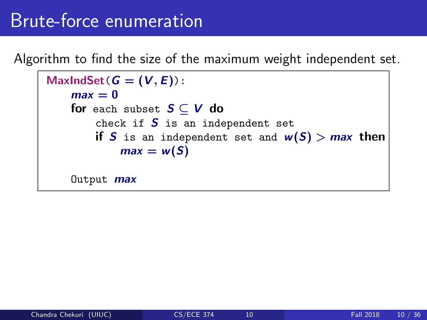# Brute-force enumeration

Algorithm to find the size of the maximum weight independent set.

```
MaxIndSet(G = (V, E)):
 max = 0for each subset S \subset V do
     check if S is an independent set
     if S is an independent set and w(S) > max then
         max = w(S)Output max
```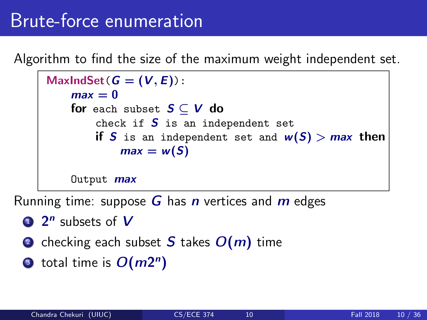# Brute-force enumeration

Algorithm to find the size of the maximum weight independent set.

```
MaxIndSet(G = (V, E)):
 max = 0for each subset S \subset V do
     check if S is an independent set
     if S is an independent set and w(S) > max then
         max = w(S)Output max
```
Running time: suppose  $G$  has n vertices and  $m$  edges

- **1**  $2^n$  subsets of  $V$
- **2** checking each subset S takes  $O(m)$  time
- **3** total time is  $O(m2^n)$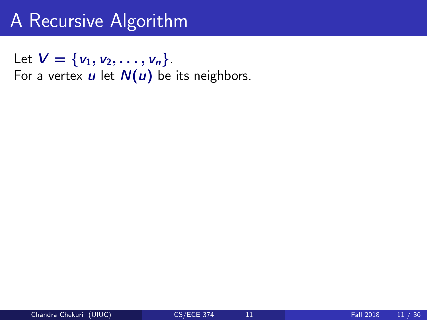Let  $V = \{v_1, v_2, \ldots, v_n\}.$ For a vertex  $u$  let  $N(u)$  be its neighbors.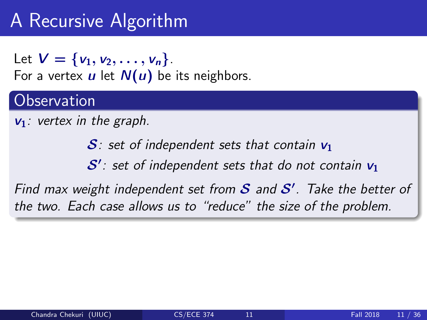Let  $V = \{v_1, v_2, \ldots, v_n\}$ . For a vertex  $u$  let  $N(u)$  be its neighbors.

## **Observation**

 $v_1$ : vertex in the graph.

 $S$ : set of independent sets that contain  $v_1$ 

 $\mathcal{S}'$  : set of independent sets that do not contain  $\mathsf{v}_1$ 

Find max weight independent set from  $S$  and  $S'$ . Take the better of the two. Each case allows us to "reduce" the size of the problem.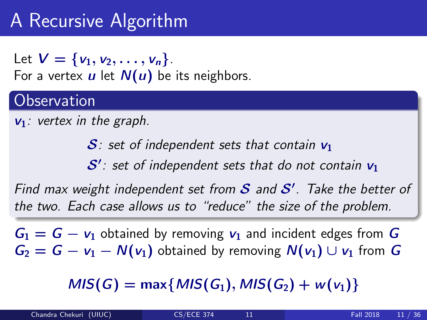Let  $V = \{v_1, v_2, \ldots, v_n\}$ . For a vertex  $u$  let  $N(u)$  be its neighbors.

### **Observation**

 $v_1$ : vertex in the graph.

 $S$ : set of independent sets that contain  $v_1$ 

 $\mathcal{S}'$  : set of independent sets that do not contain  $\mathsf{v}_1$ 

Find max weight independent set from  $S$  and  $S'$ . Take the better of the two. Each case allows us to "reduce" the size of the problem.

 $G_1 = G - v_1$  obtained by removing  $v_1$  and incident edges from G  $G_2 = G - v_1 - N(v_1)$  obtained by removing  $N(v_1) \cup v_1$  from G

 $MIS(G) = \max\{MIS(G_1), MIS(G_2) + w(v_1)\}\$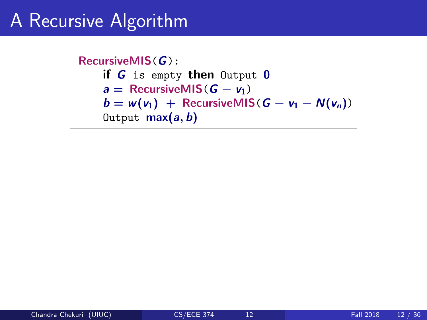RecursiveMIS(G): if G is empty then Output 0  $a =$  RecursiveMIS( $G - v_1$ )  $b = w(v_1) + \text{RecursiveMIS}(G - v_1 - N(v_n))$ Output  $max(a, b)$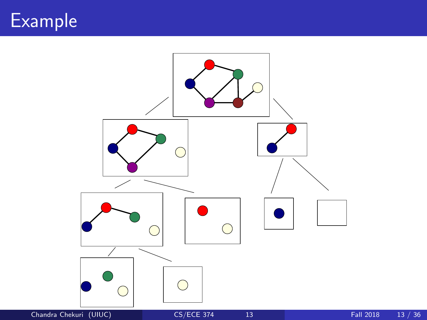

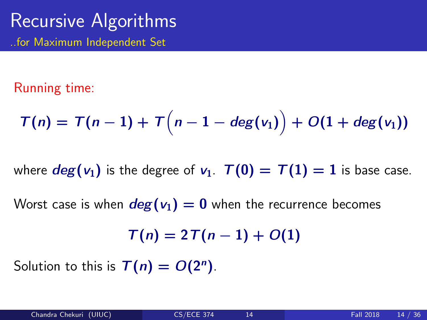## Recursive Algorithms ..for Maximum Independent Set

#### Running time:

$$
\mathcal{T}(n) = \mathcal{T}(n-1) + \mathcal{T}\left(n-1-\deg(v_1)\right) + O(1+\deg(v_1))
$$

where  $deg(v_1)$  is the degree of  $v_1$ .  $\overline{T}(0) = \overline{T}(1) = 1$  is base case.

Worst case is when  $deg(v_1) = 0$  when the recurrence becomes

$$
T(n)=2T(n-1)+O(1)
$$

Solution to this is  $T(n) = O(2^n)$ .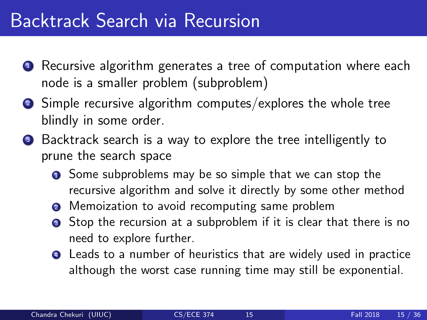# Backtrack Search via Recursion

- **1** Recursive algorithm generates a tree of computation where each node is a smaller problem (subproblem)
- <sup>2</sup> Simple recursive algorithm computes/explores the whole tree blindly in some order.
- <sup>3</sup> Backtrack search is a way to explore the tree intelligently to prune the search space
	- **1** Some subproblems may be so simple that we can stop the recursive algorithm and solve it directly by some other method
	- **2** Memoization to avoid recomputing same problem
	- **3** Stop the recursion at a subproblem if it is clear that there is no need to explore further.
	- **4** Leads to a number of heuristics that are widely used in practice although the worst case running time may still be exponential.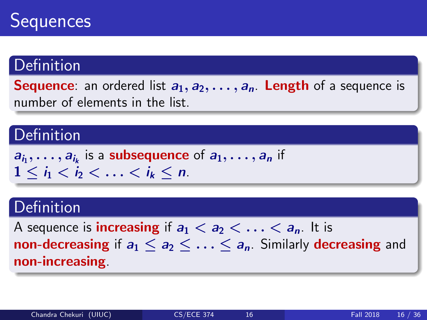

## **Definition**

**Sequence:** an ordered list  $a_1, a_2, \ldots, a_n$ . Length of a sequence is number of elements in the list.

#### **Definition**

 $a_{i_1}, \ldots, a_{i_k}$  is a subsequence of  $a_1, \ldots, a_n$  if  $1 \leq i_1 \leq i_2 \leq \ldots \leq i_k \leq n$ .

## Definition

A sequence is **increasing** if  $a_1 < a_2 < \ldots < a_n$ . It is non-decreasing if  $a_1 \le a_2 \le \ldots \le a_n$ . Similarly decreasing and non-increasing.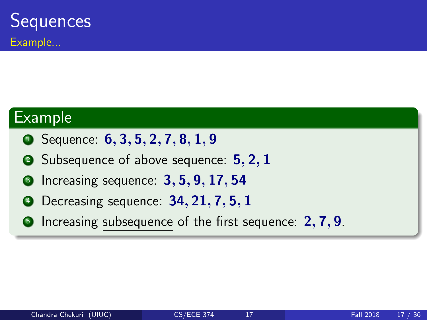#### Example

- **1** Sequence: **6, 3, 5, 2, 7, 8, 1, 9**
- 2 Subsequence of above sequence: 5, 2, 1
- Increasing sequence:  $3, 5, 9, 17, 54$
- Decreasing sequence: 34, 21, 7, 5, 1
- **•** Increasing subsequence of the first sequence: 2, 7, 9.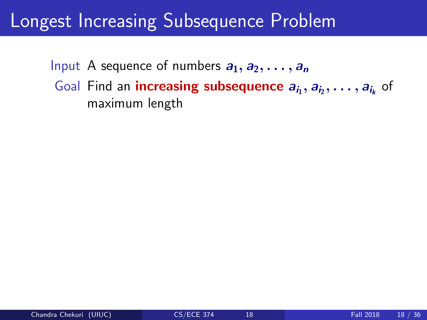# Longest Increasing Subsequence Problem

Input A sequence of numbers  $a_1, a_2, \ldots, a_n$ Goal Find an **increasing subsequence**  $a_{i_1}, a_{i_2}, \ldots, a_{i_k}$  of maximum length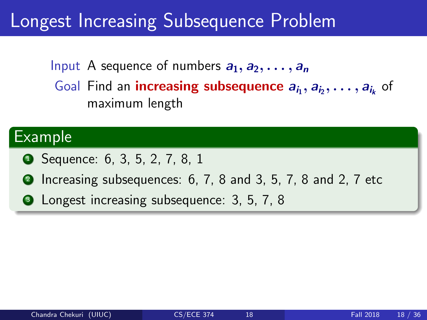# Longest Increasing Subsequence Problem

Input A sequence of numbers  $a_1, a_2, \ldots, a_n$ Goal Find an **increasing subsequence**  $a_{i_1}, a_{i_2}, \ldots, a_{i_k}$  of maximum length

#### Example

- **1** Sequence: 6, 3, 5, 2, 7, 8, 1
- **2** Increasing subsequences: 6, 7, 8 and 3, 5, 7, 8 and 2, 7 etc
- **3** Longest increasing subsequence: 3, 5, 7, 8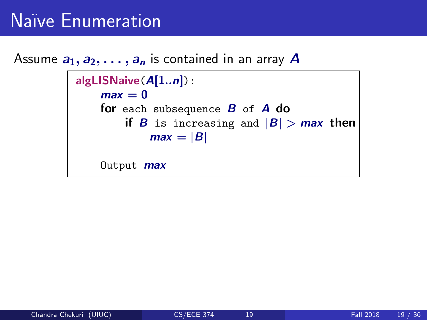# Na¨ıve Enumeration

#### Assume  $a_1, a_2, \ldots, a_n$  is contained in an array A

```
algLISNaive(A[1..n]):
 max = 0for each subsequence B of A do
    if B is increasing and |B| > max then
         max = |B|Output max
```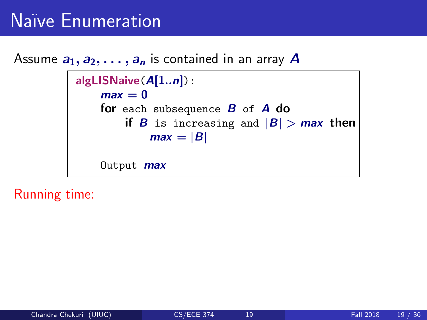# Na¨ıve Enumeration

Assume  $a_1, a_2, \ldots, a_n$  is contained in an array A

```
algLISNaive(A[1..n]):
 max = 0for each subsequence B of A do
    if B is increasing and |B| > max then
         max = |B|Output max
```
Running time: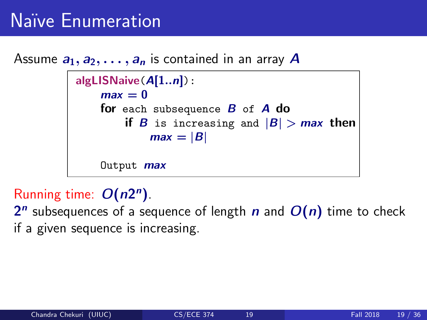# Na¨ıve Enumeration

Assume  $a_1, a_2, \ldots, a_n$  is contained in an array A

```
algLISNaive(A[1..n]):
 max = 0for each subsequence B of A do
    if B is increasing and |B| > max then
         max = |B|Output max
```
## Running time:  $O(n2^n)$ .

 $2^n$  subsequences of a sequence of length  $n$  and  $O(n)$  time to check if a given sequence is increasing.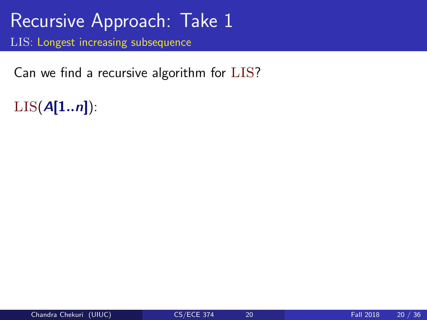Can we find a recursive algorithm for LIS?

 $LIS(A[1..n])$ :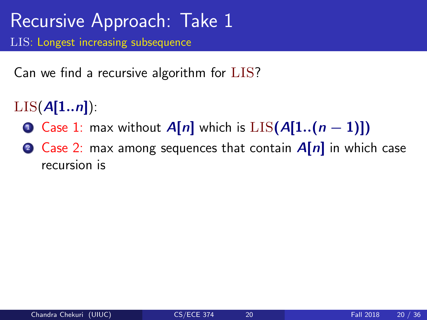Can we find a recursive algorithm for LIS?

- $LIS(A[1..n])$ :
	- **■** Case 1: max without  $A[n]$  which is  $LIS(A[1..(n-1)])$
	- 2 Case 2: max among sequences that contain  $A[n]$  in which case recursion is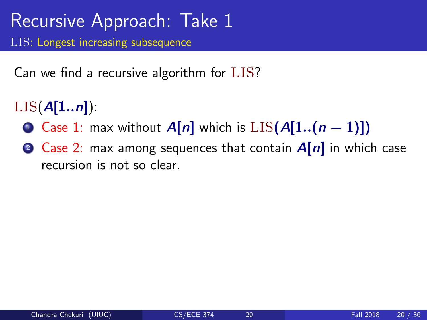Can we find a recursive algorithm for LIS?

- $LIS(A[1..n])$ :
	- **■** Case 1: max without  $A[n]$  which is  $LIS(A[1..(n-1)])$
	- 2 Case 2: max among sequences that contain  $A[n]$  in which case recursion is not so clear.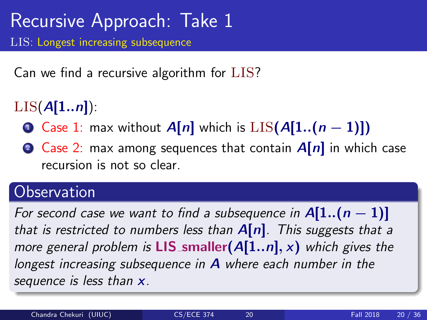Can we find a recursive algorithm for LIS?

- $LIS(A[1..n])$ :
	- **■** Case 1: max without  $A[n]$  which is  $LIS(A[1..(n-1)])$
	- 2 Case 2: max among sequences that contain  $A[n]$  in which case recursion is not so clear.

## **Observation**

For second case we want to find a subsequence in  $A[1..(n-1)]$ that is restricted to numbers less than  $A[n]$ . This suggests that a more general problem is **LIS** smaller  $(A[1..n], x)$  which gives the longest increasing subsequence in  $A$  where each number in the sequence is less than  $x$ .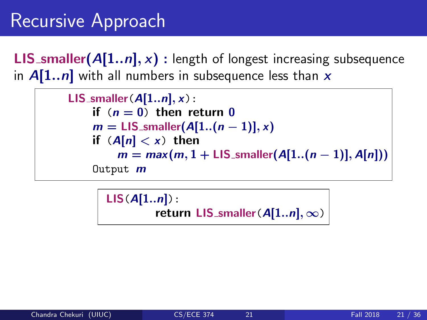# Recursive Approach

**LIS**\_smaller( $A[1..n]$ , x) : length of longest increasing subsequence in  $A[1..n]$  with all numbers in subsequence less than x

> LIS\_smaller( $A[1..n], x$ ): if  $(n = 0)$  then return 0  $m =$  LIS\_smaller( $A[1..(n-1)],x$ ) if  $(A[n] < x)$  then  $m = max(m, 1 + LIS\_smaller(A[1..(n-1)], A[n]))$ Output **m**

> > $LIS(A[1..n]):$ return LIS\_smaller( $A[1..n], \infty$ )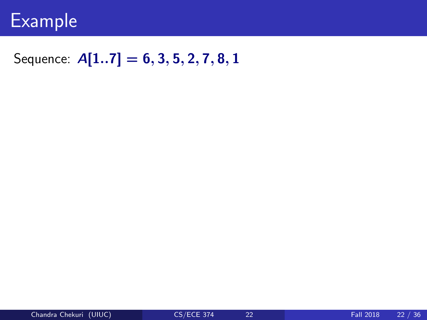

### Sequence:  $A[1..7] = 6, 3, 5, 2, 7, 8, 1$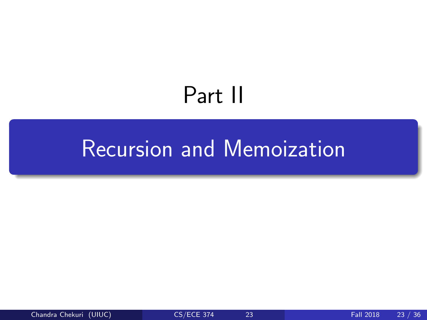# Part II

# <span id="page-31-0"></span>[Recursion and Memoization](#page-31-0)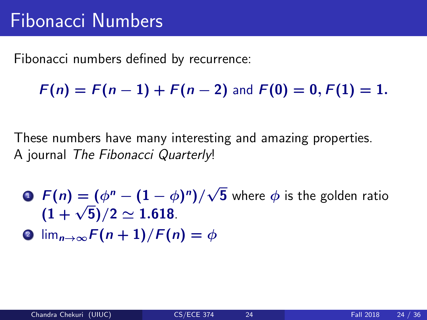Fibonacci numbers defined by recurrence:

 $F(n) = F(n-1) + F(n-2)$  and  $F(0) = 0, F(1) = 1$ .

These numbers have many interesting and amazing properties. A journal The Fibonacci Quarterly!

- **D**  $F(n) = (\phi^n (1 \phi)^n)$ √  ${\bf 5}$  where  $\phi$  is the golden ratio  $(1+\sqrt{5})/2 \simeq 1.618.$
- **2**  $\lim_{n\to\infty} F(n+1)/F(n) = \phi$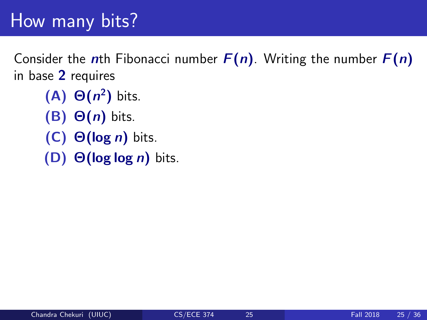# How many bits?

Consider the nth Fibonacci number  $F(n)$ . Writing the number  $F(n)$ in base 2 requires

- $(A)$   $\Theta(n^2)$  bits.
- (B)  $\Theta(n)$  bits.
- (C)  $\Theta(\log n)$  bits.
- (D)  $\Theta(\log \log n)$  bits.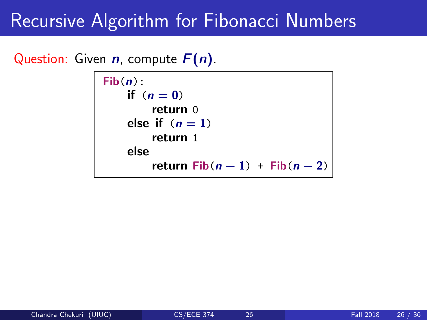#### Question: Given  $n$ , compute  $F(n)$ .

```
Fib(n):
if (n=0)return 0
else if (n = 1)return 1
else
    return Fib(n-1) + Fib(n-2)
```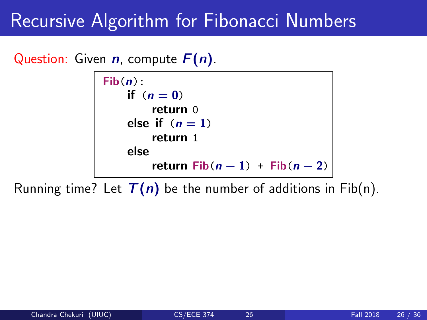Question: Given  $n$ , compute  $F(n)$ .



Running time? Let  $T(n)$  be the number of additions in Fib(n).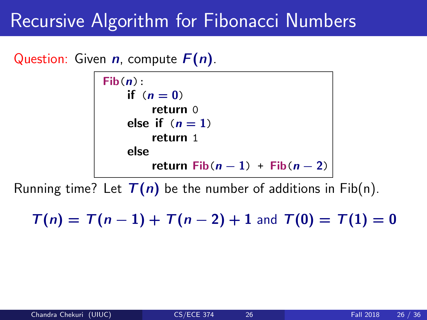#### Question: Given  $n$ , compute  $F(n)$ .



Running time? Let  $T(n)$  be the number of additions in Fib(n).

 $T(n) = T(n-1) + T(n-2) + 1$  and  $T(0) = T(1) = 0$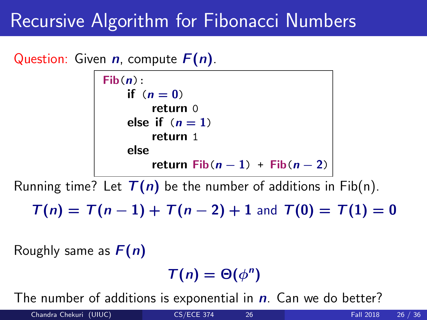#### Question: Given  $n$ , compute  $F(n)$ .

```
Fib(n):
if (n=0)return 0
else if (n = 1)return 1
else
    return Fib(n-1) + Fib(n-2)
```
Running time? Let  $T(n)$  be the number of additions in Fib(n).

 $T(n) = T(n-1) + T(n-2) + 1$  and  $T(0) = T(1) = 0$ 

Roughly same as  $F(n)$ 

 $T(n) = \Theta(\phi^n)$ 

The number of additions is exponential in  $n$ . Can we do better?

Chandra Chekuri (UIUC) [CS/ECE 374](#page-0-0) 26 Fall 2018 26 / 36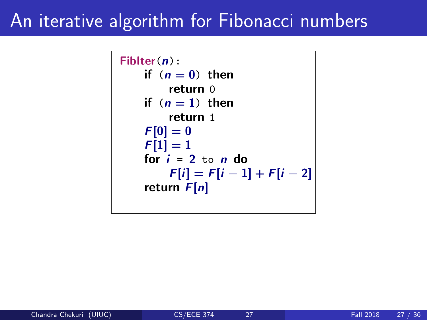# An iterative algorithm for Fibonacci numbers

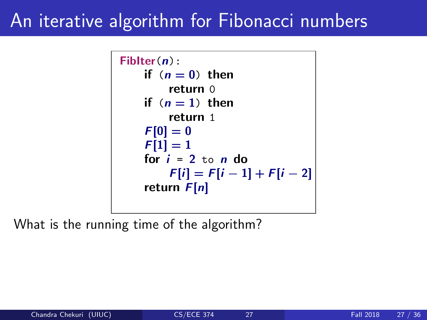# An iterative algorithm for Fibonacci numbers



What is the running time of the algorithm?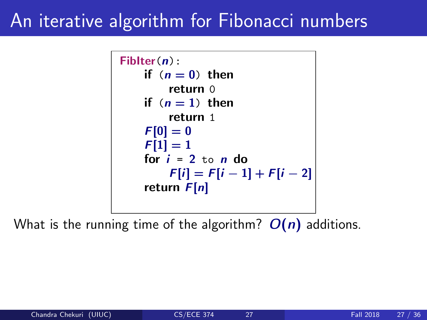# An iterative algorithm for Fibonacci numbers



What is the running time of the algorithm?  $O(n)$  additions.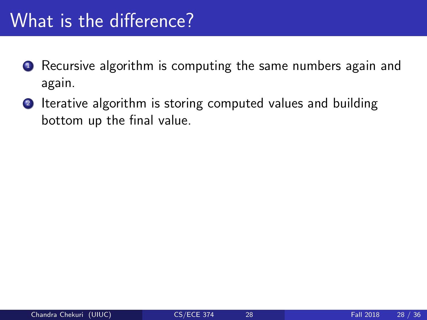# What is the difference?

- **1** Recursive algorithm is computing the same numbers again and again.
- 2 Iterative algorithm is storing computed values and building bottom up the final value.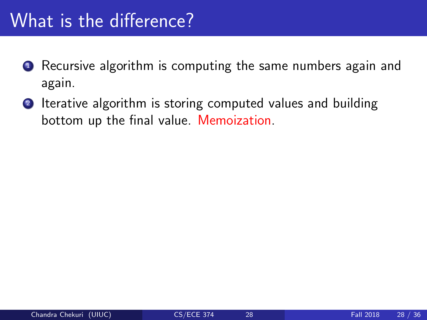# What is the difference?

- **1** Recursive algorithm is computing the same numbers again and again.
- 2 Iterative algorithm is storing computed values and building bottom up the final value. Memoization.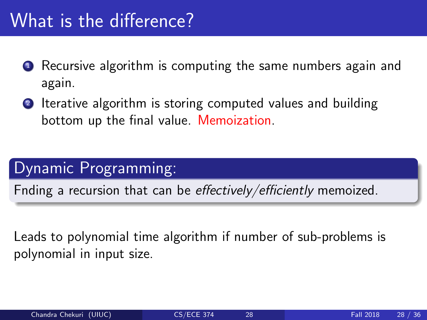# What is the difference?

- **1** Recursive algorithm is computing the same numbers again and again.
- **2** Iterative algorithm is storing computed values and building bottom up the final value. Memoization.

## Dynamic Programming:

Fnding a recursion that can be effectively/efficiently memoized.

Leads to polynomial time algorithm if number of sub-problems is polynomial in input size.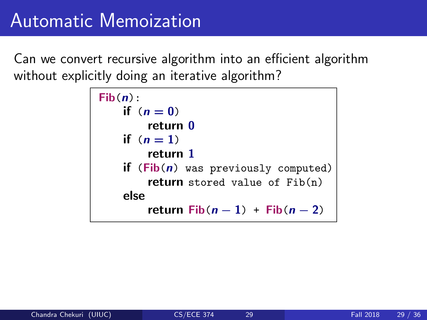```
Fib(n):
if (n=0)return 0
if (n=1)return 1
if (Fib(n) was previously computed)
    return stored value of Fib(n)
else
     return Fib(n-1) + Fib(n-2)
```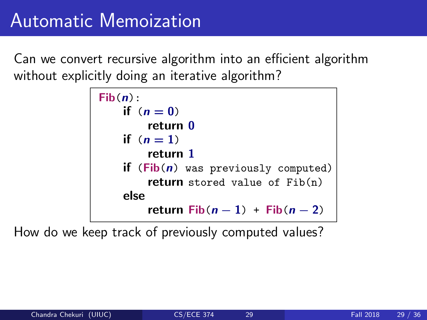

How do we keep track of previously computed values?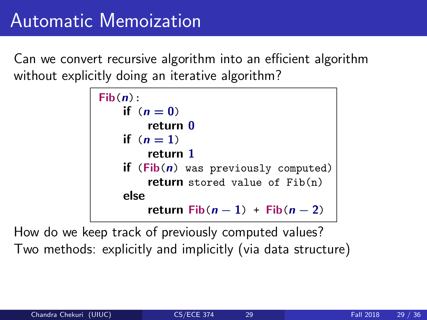```
Fib(n):
if (n=0)return 0
if (n=1)return 1
if (Fib(n) was previously computed)
    return stored value of Fib(n)
else
     return Fib(n-1) + Fib(n-2)
```
How do we keep track of previously computed values? Two methods: explicitly and implicitly (via data structure)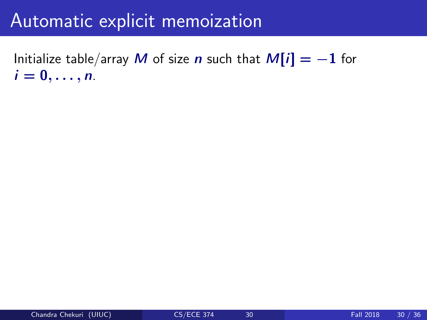# Automatic explicit memoization

Initialize table/array M of size n such that  $M[i] = -1$  for  $i=0,\ldots,n$ .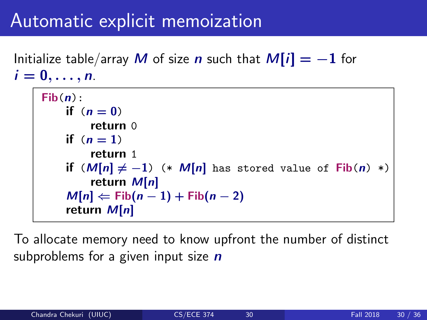# Automatic explicit memoization

Initialize table/array M of size n such that  $M[i] = -1$  for  $i=0,\ldots,n$ .

```
Fib(n):
 if (n=0)return 0
if (n=1)return 1
 if (M[n] \neq -1) (* M[n] has stored value of Fib(n) *)
     return M[n]M[n] \Leftarrow Fib(n-1) + Fib(n-2)return M[n]
```
To allocate memory need to know upfront the number of distinct subproblems for a given input size  $n$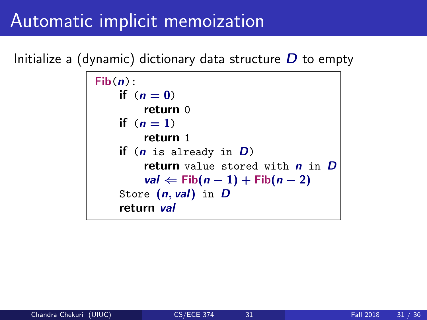# Automatic implicit memoization

Initialize a (dynamic) dictionary data structure  $D$  to empty

```
Fib(n):
 if (n=0)return 0
 if (n=1)return 1
 if (n is already in D)
     return value stored with n in Dval \Leftarrow Fib(n-1) + Fib(n-2)Store (n, val) in Dreturn val
```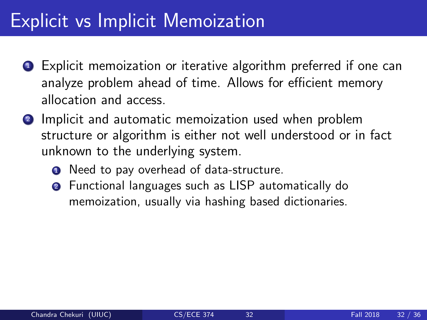# Explicit vs Implicit Memoization

- **1** Explicit memoization or iterative algorithm preferred if one can analyze problem ahead of time. Allows for efficient memory allocation and access.
- **2** Implicit and automatic memoization used when problem structure or algorithm is either not well understood or in fact unknown to the underlying system.
	- **1** Need to pay overhead of data-structure.
	- **2** Functional languages such as LISP automatically do memoization, usually via hashing based dictionaries.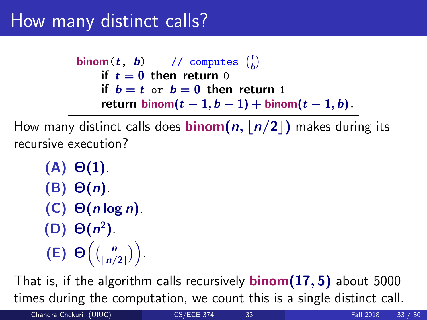# How many distinct calls?

binom(t, b) // computes  $\binom{t}{b}$ if  $t = 0$  then return 0 if  $b = t$  or  $b = 0$  then return 1 return binom $(t-1, b-1)$  + binom $(t-1, b)$ .

How many distinct calls does **binom(n, |n/2|)** makes during its recursive execution?

(A) Θ(1). (B) Θ(n). (C)  $\Theta(n \log n)$ . (D)  $\Theta(n^2)$ . (E)  $\Theta\left(\binom{n}{\lfloor n/2 \rfloor}\right)$ .

That is, if the algorithm calls recursively **binom** $(17, 5)$  about 5000 times during the computation, we count this is a single distinct call.

Chandra Chekuri (UIUC) [CS/ECE 374](#page-0-0) 33 Fall 2018 33 / 36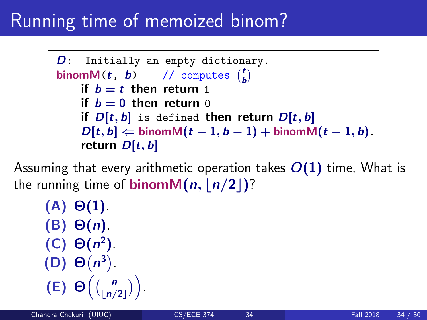# Running time of memoized binom?

.

D: Initially an empty dictionary. binom $M(t, b)$  // computes  $\binom{t}{b}$ if  $b = t$  then return 1 if  $b = 0$  then return 0 if  $D[t, b]$  is defined then return  $D[t, b]$  $D[t, b] \leftarrow \text{binom}(t-1, b-1) + \text{binom}(t-1, b).$ return  $D[t, b]$ 

Assuming that every arithmetic operation takes  $O(1)$  time, What is the running time of **binomM** $(n, |n/2|)$ ?

\n- (A) 
$$
\Theta(1)
$$
.
\n- (B)  $\Theta(n)$ .
\n- (C)  $\Theta(n^2)$ .
\n- (D)  $\Theta(n^3)$ .
\n- (E)  $\Theta\left(\binom{n}{\lfloor n/2 \rfloor}\right)$
\n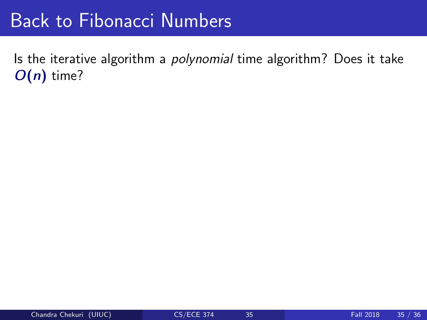# Back to Fibonacci Numbers

Is the iterative algorithm a polynomial time algorithm? Does it take  $O(n)$  time?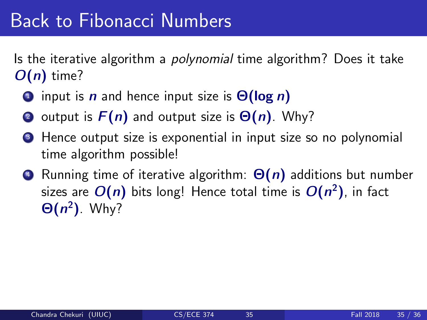# Back to Fibonacci Numbers

Is the iterative algorithm a *polynomial* time algorithm? Does it take  $O(n)$  time?

- **1** input is **n** and hence input size is  $\Theta(\log n)$
- 2 output is  $F(n)$  and output size is  $\Theta(n)$ . Why?
- **3** Hence output size is exponential in input size so no polynomial time algorithm possible!
- Running time of iterative algorithm:  $\Theta(n)$  additions but number sizes are  $O(n)$  bits long! Hence total time is  $O(n^2)$ , in fact  $\Theta(n^2)$ . Why?